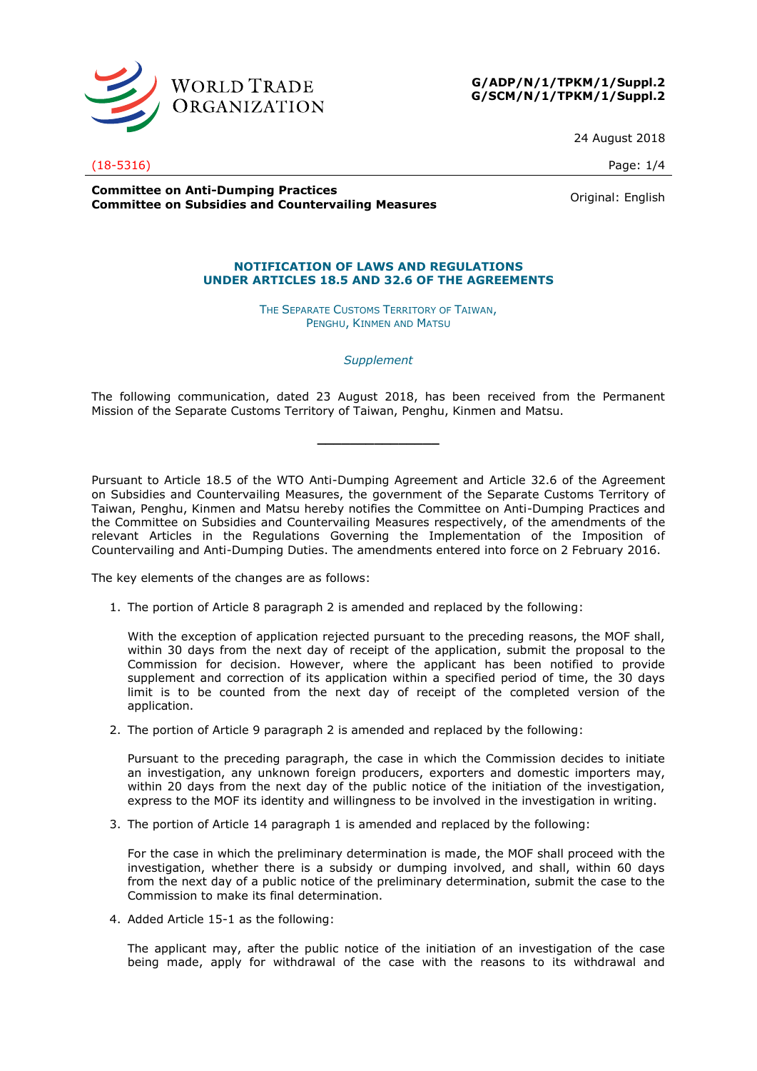



24 August 2018

## (18-5316) Page: 1/4

**Committee on Anti-Dumping Practices Committee on Anti-Dumping Practices**<br>**Committee on Subsidies and Countervailing Measures Committee on Subsidies and Countervailing Measures** 

## **NOTIFICATION OF LAWS AND REGULATIONS**

**UNDER ARTICLES 18.5 AND 32.6 OF THE AGREEMENTS**

THE SEPARATE CUSTOMS TERRITORY OF TAIWAN, PENGHU, KINMEN AND MATSU

*Supplement*

The following communication, dated 23 August 2018, has been received from the Permanent Mission of the Separate Customs Territory of Taiwan, Penghu, Kinmen and Matsu.

**\_\_\_\_\_\_\_\_\_\_\_\_\_\_\_**

Pursuant to Article 18.5 of the WTO Anti-Dumping Agreement and Article 32.6 of the Agreement on Subsidies and Countervailing Measures, the government of the Separate Customs Territory of Taiwan, Penghu, Kinmen and Matsu hereby notifies the Committee on Anti-Dumping Practices and the Committee on Subsidies and Countervailing Measures respectively, of the amendments of the relevant Articles in the Regulations Governing the Implementation of the Imposition of Countervailing and Anti-Dumping Duties. The amendments entered into force on 2 February 2016.

The key elements of the changes are as follows:

1. The portion of Article 8 paragraph 2 is amended and replaced by the following:

With the exception of application rejected pursuant to the preceding reasons, the MOF shall, within 30 days from the next day of receipt of the application, submit the proposal to the Commission for decision. However, where the applicant has been notified to provide supplement and correction of its application within a specified period of time, the 30 days limit is to be counted from the next day of receipt of the completed version of the application.

2. The portion of Article 9 paragraph 2 is amended and replaced by the following:

Pursuant to the preceding paragraph, the case in which the Commission decides to initiate an investigation, any unknown foreign producers, exporters and domestic importers may, within 20 days from the next day of the public notice of the initiation of the investigation, express to the MOF its identity and willingness to be involved in the investigation in writing.

3. The portion of Article 14 paragraph 1 is amended and replaced by the following:

For the case in which the preliminary determination is made, the MOF shall proceed with the investigation, whether there is a subsidy or dumping involved, and shall, within 60 days from the next day of a public notice of the preliminary determination, submit the case to the Commission to make its final determination.

4. Added Article 15-1 as the following:

The applicant may, after the public notice of the initiation of an investigation of the case being made, apply for withdrawal of the case with the reasons to its withdrawal and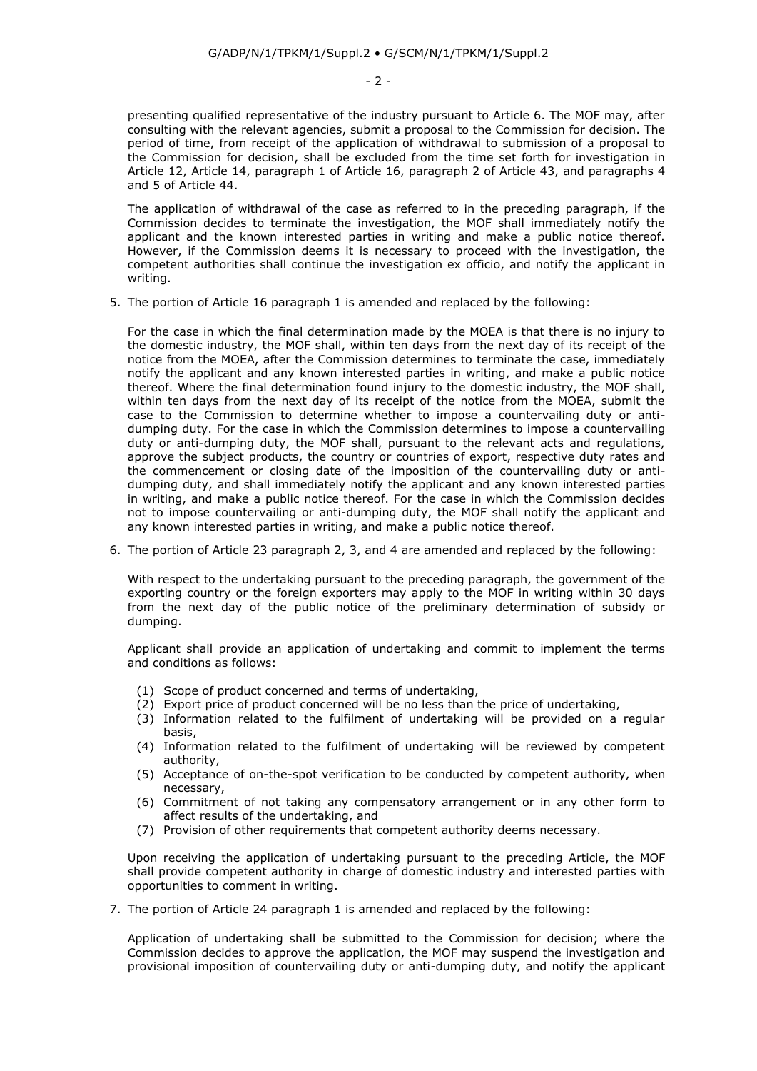- 2 -

presenting qualified representative of the industry pursuant to Article 6. The MOF may, after consulting with the relevant agencies, submit a proposal to the Commission for decision. The period of time, from receipt of the application of withdrawal to submission of a proposal to the Commission for decision, shall be excluded from the time set forth for investigation in Article 12, Article 14, paragraph 1 of Article 16, paragraph 2 of Article 43, and paragraphs 4 and 5 of Article 44.

The application of withdrawal of the case as referred to in the preceding paragraph, if the Commission decides to terminate the investigation, the MOF shall immediately notify the applicant and the known interested parties in writing and make a public notice thereof. However, if the Commission deems it is necessary to proceed with the investigation, the competent authorities shall continue the investigation ex officio, and notify the applicant in writing.

5. The portion of Article 16 paragraph 1 is amended and replaced by the following:

For the case in which the final determination made by the MOEA is that there is no injury to the domestic industry, the MOF shall, within ten days from the next day of its receipt of the notice from the MOEA, after the Commission determines to terminate the case, immediately notify the applicant and any known interested parties in writing, and make a public notice thereof. Where the final determination found injury to the domestic industry, the MOF shall, within ten days from the next day of its receipt of the notice from the MOEA, submit the case to the Commission to determine whether to impose a countervailing duty or antidumping duty. For the case in which the Commission determines to impose a countervailing duty or anti-dumping duty, the MOF shall, pursuant to the relevant acts and regulations, approve the subject products, the country or countries of export, respective duty rates and the commencement or closing date of the imposition of the countervailing duty or antidumping duty, and shall immediately notify the applicant and any known interested parties in writing, and make a public notice thereof. For the case in which the Commission decides not to impose countervailing or anti-dumping duty, the MOF shall notify the applicant and any known interested parties in writing, and make a public notice thereof.

6. The portion of Article 23 paragraph 2, 3, and 4 are amended and replaced by the following:

With respect to the undertaking pursuant to the preceding paragraph, the government of the exporting country or the foreign exporters may apply to the MOF in writing within 30 days from the next day of the public notice of the preliminary determination of subsidy or dumping.

Applicant shall provide an application of undertaking and commit to implement the terms and conditions as follows:

- (1) Scope of product concerned and terms of undertaking,
- (2) Export price of product concerned will be no less than the price of undertaking,
- (3) Information related to the fulfilment of undertaking will be provided on a regular basis,
- (4) Information related to the fulfilment of undertaking will be reviewed by competent authority,
- (5) Acceptance of on-the-spot verification to be conducted by competent authority, when necessary,
- (6) Commitment of not taking any compensatory arrangement or in any other form to affect results of the undertaking, and
- (7) Provision of other requirements that competent authority deems necessary.

Upon receiving the application of undertaking pursuant to the preceding Article, the MOF shall provide competent authority in charge of domestic industry and interested parties with opportunities to comment in writing.

7. The portion of Article 24 paragraph 1 is amended and replaced by the following:

Application of undertaking shall be submitted to the Commission for decision; where the Commission decides to approve the application, the MOF may suspend the investigation and provisional imposition of countervailing duty or anti-dumping duty, and notify the applicant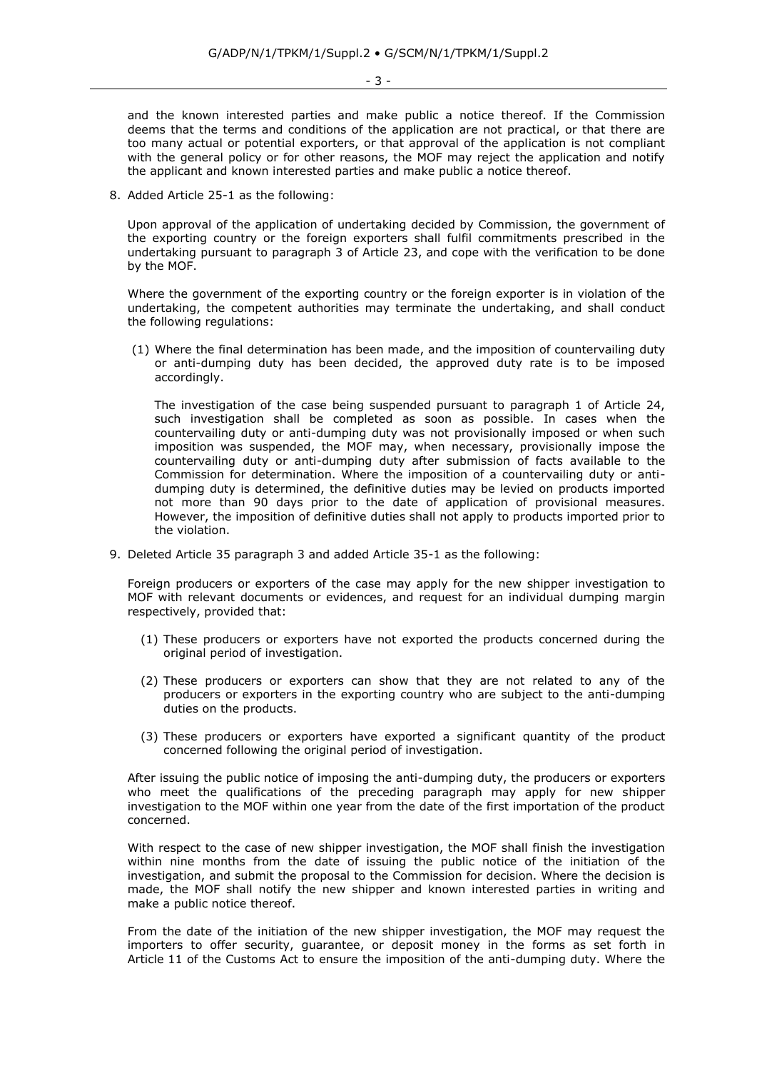and the known interested parties and make public a notice thereof. If the Commission deems that the terms and conditions of the application are not practical, or that there are too many actual or potential exporters, or that approval of the application is not compliant with the general policy or for other reasons, the MOF may reject the application and notify the applicant and known interested parties and make public a notice thereof.

8. Added Article 25-1 as the following:

Upon approval of the application of undertaking decided by Commission, the government of the exporting country or the foreign exporters shall fulfil commitments prescribed in the undertaking pursuant to paragraph 3 of Article 23, and cope with the verification to be done by the MOF.

Where the government of the exporting country or the foreign exporter is in violation of the undertaking, the competent authorities may terminate the undertaking, and shall conduct the following regulations:

(1) Where the final determination has been made, and the imposition of countervailing duty or anti-dumping duty has been decided, the approved duty rate is to be imposed accordingly.

The investigation of the case being suspended pursuant to paragraph 1 of Article 24, such investigation shall be completed as soon as possible. In cases when the countervailing duty or anti-dumping duty was not provisionally imposed or when such imposition was suspended, the MOF may, when necessary, provisionally impose the countervailing duty or anti-dumping duty after submission of facts available to the Commission for determination. Where the imposition of a countervailing duty or antidumping duty is determined, the definitive duties may be levied on products imported not more than 90 days prior to the date of application of provisional measures. However, the imposition of definitive duties shall not apply to products imported prior to the violation.

9. Deleted Article 35 paragraph 3 and added Article 35-1 as the following:

Foreign producers or exporters of the case may apply for the new shipper investigation to MOF with relevant documents or evidences, and request for an individual dumping margin respectively, provided that:

- (1) These producers or exporters have not exported the products concerned during the original period of investigation.
- (2) These producers or exporters can show that they are not related to any of the producers or exporters in the exporting country who are subject to the anti-dumping duties on the products.
- (3) These producers or exporters have exported a significant quantity of the product concerned following the original period of investigation.

After issuing the public notice of imposing the anti-dumping duty, the producers or exporters who meet the qualifications of the preceding paragraph may apply for new shipper investigation to the MOF within one year from the date of the first importation of the product concerned.

With respect to the case of new shipper investigation, the MOF shall finish the investigation within nine months from the date of issuing the public notice of the initiation of the investigation, and submit the proposal to the Commission for decision. Where the decision is made, the MOF shall notify the new shipper and known interested parties in writing and make a public notice thereof.

From the date of the initiation of the new shipper investigation, the MOF may request the importers to offer security, guarantee, or deposit money in the forms as set forth in Article 11 of the Customs Act to ensure the imposition of the anti-dumping duty. Where the